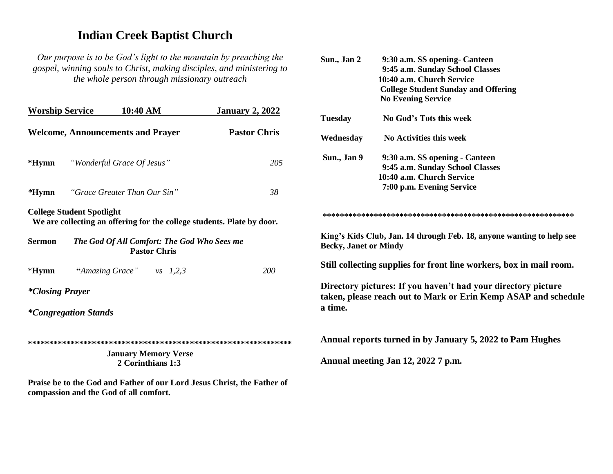## **Indian Creek Baptist Church**

*Our purpose is to be God's light to the mountain by preaching the gospel, winning souls to Christ, making disciples, and ministering to the whole person through missionary outreach*

| <b>Worship Service</b> |                                  | 10:40 AM                                 |                                                  | <b>January 2, 2022</b>                                                 |
|------------------------|----------------------------------|------------------------------------------|--------------------------------------------------|------------------------------------------------------------------------|
|                        |                                  | <b>Welcome, Announcements and Prayer</b> |                                                  | <b>Pastor Chris</b>                                                    |
|                        |                                  | <b>*Hymn</b> "Wonderful Grace Of Jesus"  |                                                  | 205                                                                    |
| *Hymn                  |                                  | "Grace Greater Than Our Sin"             |                                                  | 38                                                                     |
|                        | <b>College Student Spotlight</b> |                                          |                                                  | We are collecting an offering for the college students. Plate by door. |
| <b>Sermon</b>          |                                  |                                          | <b>Pastor Chris</b>                              | The God Of All Comfort: The God Who Sees me                            |
| $*Hymn$                |                                  | "Amazing Grace" vs $1,2,3$               |                                                  | <b>200</b>                                                             |
| <i>*Closing Prayer</i> |                                  |                                          |                                                  |                                                                        |
|                        | <i>*Congregation Stands</i>      |                                          |                                                  |                                                                        |
|                        |                                  |                                          |                                                  |                                                                        |
|                        |                                  |                                          | <b>January Memory Verse</b><br>2 Corinthians 1:3 |                                                                        |

**Praise be to the God and Father of our Lord Jesus Christ, the Father of compassion and the God of all comfort.**

| 9:45 a.m. Sunday School Classes<br>10:40 a.m. Church Service<br><b>College Student Sunday and Offering</b><br><b>No Evening Service</b><br>No God's Tots this week<br>No Activities this week<br>9:30 a.m. SS opening - Canteen<br>9:45 a.m. Sunday School Classes<br>10:40 a.m. Church Service<br>7:00 p.m. Evening Service |
|------------------------------------------------------------------------------------------------------------------------------------------------------------------------------------------------------------------------------------------------------------------------------------------------------------------------------|
|                                                                                                                                                                                                                                                                                                                              |
|                                                                                                                                                                                                                                                                                                                              |
|                                                                                                                                                                                                                                                                                                                              |
|                                                                                                                                                                                                                                                                                                                              |
|                                                                                                                                                                                                                                                                                                                              |
|                                                                                                                                                                                                                                                                                                                              |
|                                                                                                                                                                                                                                                                                                                              |
|                                                                                                                                                                                                                                                                                                                              |
|                                                                                                                                                                                                                                                                                                                              |
|                                                                                                                                                                                                                                                                                                                              |
| King's Kids Club, Jan. 14 through Feb. 18, anyone wanting to help see<br><b>Becky, Janet or Mindy</b>                                                                                                                                                                                                                        |
| Still collecting supplies for front line workers, box in mail room.                                                                                                                                                                                                                                                          |
| Directory pictures: If you haven't had your directory picture<br>taken, please reach out to Mark or Erin Kemp ASAP and schedule                                                                                                                                                                                              |
| Annual reports turned in by January 5, 2022 to Pam Hughes<br>Annual meeting Jan 12, 2022 7 p.m.                                                                                                                                                                                                                              |
|                                                                                                                                                                                                                                                                                                                              |